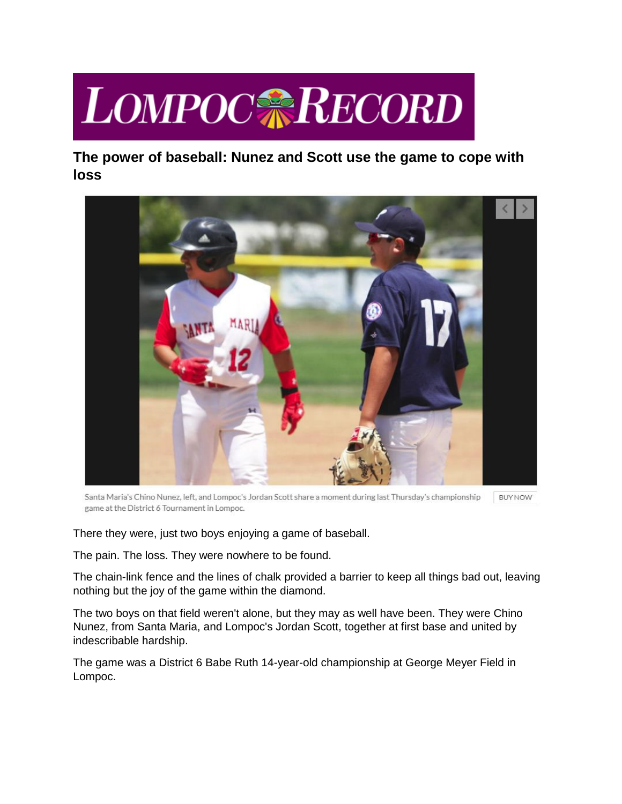## **LOMPOCARECORD**

**The power of baseball: Nunez and Scott use the game to cope with loss**



Santa Maria's Chino Nunez, left, and Lompoc's Jordan Scott share a moment during last Thursday's championship **BUY NOW** game at the District 6 Tournament in Lompoc.

There they were, just two boys enjoying a game of baseball.

The pain. The loss. They were nowhere to be found.

The chain-link fence and the lines of chalk provided a barrier to keep all things bad out, leaving nothing but the joy of the game within the diamond.

The two boys on that field weren't alone, but they may as well have been. They were Chino Nunez, from Santa Maria, and Lompoc's Jordan Scott, together at first base and united by indescribable hardship.

The game was a District 6 Babe Ruth 14-year-old championship at George Meyer Field in Lompoc.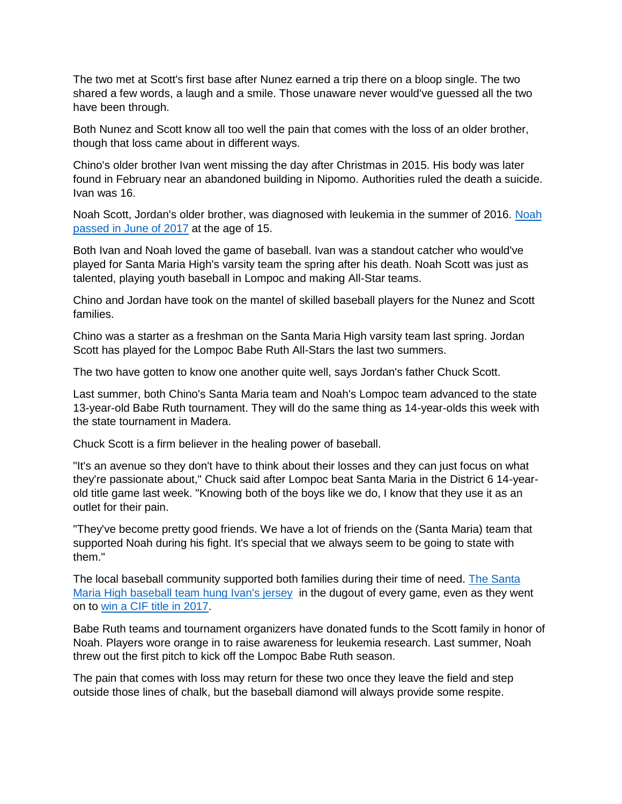The two met at Scott's first base after Nunez earned a trip there on a bloop single. The two shared a few words, a laugh and a smile. Those unaware never would've guessed all the two have been through.

Both Nunez and Scott know all too well the pain that comes with the loss of an older brother, though that loss came about in different ways.

Chino's older brother Ivan went missing the day after Christmas in 2015. His body was later found in February near an abandoned building in Nipomo. Authorities ruled the death a suicide. Ivan was 16.

Noah Scott, Jordan's older brother, was diagnosed with leukemia in the summer of 2016. [Noah](https://santamariatimes.com/news/local/impactful-young-man-lompoc-teen-noah-scott-remembered-for-his/article_04cd7b20-71ea-5e8b-9ad8-166d08339909.html)  [passed in June of 2017](https://santamariatimes.com/news/local/impactful-young-man-lompoc-teen-noah-scott-remembered-for-his/article_04cd7b20-71ea-5e8b-9ad8-166d08339909.html) at the age of 15.

Both Ivan and Noah loved the game of baseball. Ivan was a standout catcher who would've played for Santa Maria High's varsity team the spring after his death. Noah Scott was just as talented, playing youth baseball in Lompoc and making All-Star teams.

Chino and Jordan have took on the mantel of skilled baseball players for the Nunez and Scott families.

Chino was a starter as a freshman on the Santa Maria High varsity team last spring. Jordan Scott has played for the Lompoc Babe Ruth All-Stars the last two summers.

The two have gotten to know one another quite well, says Jordan's father Chuck Scott.

Last summer, both Chino's Santa Maria team and Noah's Lompoc team advanced to the state 13-year-old Babe Ruth tournament. They will do the same thing as 14-year-olds this week with the state tournament in Madera.

Chuck Scott is a firm believer in the healing power of baseball.

"It's an avenue so they don't have to think about their losses and they can just focus on what they're passionate about," Chuck said after Lompoc beat Santa Maria in the District 6 14-yearold title game last week. "Knowing both of the boys like we do, I know that they use it as an outlet for their pain.

"They've become pretty good friends. We have a lot of friends on the (Santa Maria) team that supported Noah during his fight. It's special that we always seem to be going to state with them."

The local baseball community supported both families during their time of need. The Santa [Maria High baseball team hung Ivan's jersey](https://santamariatimes.com/sports/high-school/santa-maria-saints-cif-title-carries-much-weight/article_c0be92f7-efd3-58f9-87ad-90546c3ad721.html) in the dugout of every game, even as they went on to [win a CIF title in 2017.](https://santamariatimes.com/sports/local/saints-bring-it-home-for-ivan/article_a5ab0020-b025-5ea0-8288-ffcaab3b2b72.html)

Babe Ruth teams and tournament organizers have donated funds to the Scott family in honor of Noah. Players wore orange in to raise awareness for leukemia research. Last summer, Noah threw out the first pitch to kick off the Lompoc Babe Ruth season.

The pain that comes with loss may return for these two once they leave the field and step outside those lines of chalk, but the baseball diamond will always provide some respite.